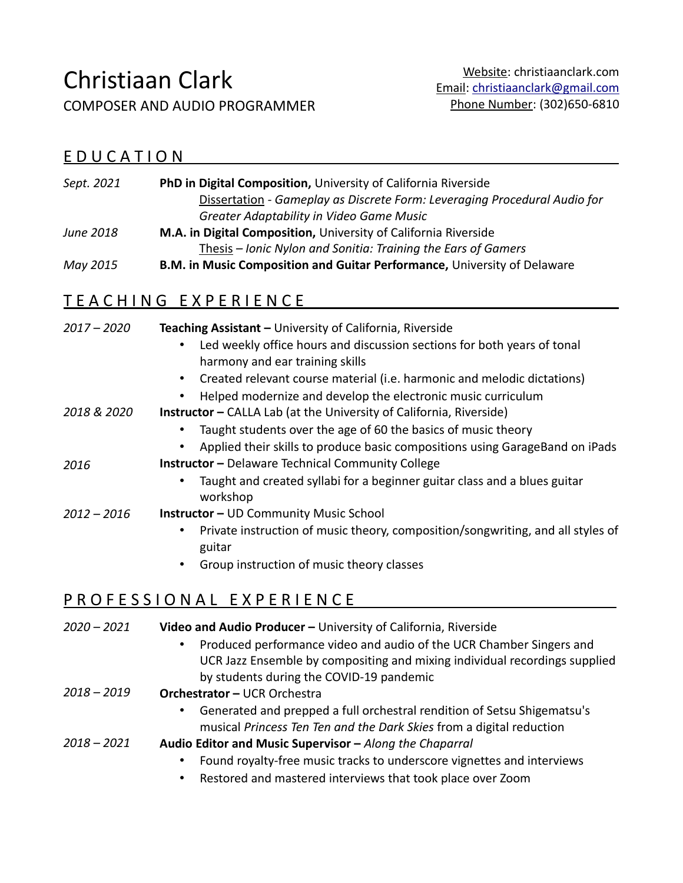# Christiaan Clark

COMPOSER AND AUDIO PROGRAMMER

#### E D U C A T I O N

| Sept. 2021 | <b>PhD in Digital Composition, University of California Riverside</b>     |
|------------|---------------------------------------------------------------------------|
|            | Dissertation - Gameplay as Discrete Form: Leveraging Procedural Audio for |
|            | Greater Adaptability in Video Game Music                                  |
| June 2018  | M.A. in Digital Composition, University of California Riverside           |
|            | Thesis – Ionic Nylon and Sonitia: Training the Ears of Gamers             |
| May 2015   | B.M. in Music Composition and Guitar Performance, University of Delaware  |

## TEACHING EXPERIENCE

| $2017 - 2020$ | Teaching Assistant - University of California, Riverside                                                                |
|---------------|-------------------------------------------------------------------------------------------------------------------------|
|               | Led weekly office hours and discussion sections for both years of tonal<br>$\bullet$<br>harmony and ear training skills |
|               | Created relevant course material (i.e. harmonic and melodic dictations)                                                 |
|               | Helped modernize and develop the electronic music curriculum                                                            |
| 2018 & 2020   | <b>Instructor</b> – CALLA Lab (at the University of California, Riverside)                                              |
|               | Taught students over the age of 60 the basics of music theory                                                           |
|               | Applied their skills to produce basic compositions using GarageBand on iPads                                            |
| 2016          | <b>Instructor</b> - Delaware Technical Community College                                                                |
|               | Taught and created syllabi for a beginner guitar class and a blues guitar<br>workshop                                   |
| $2012 - 2016$ | <b>Instructor - UD Community Music School</b>                                                                           |
|               | Private instruction of music theory, composition/songwriting, and all styles of<br>$\bullet$<br>guitar                  |
|               | Group instruction of music theory classes<br>$\bullet$                                                                  |
|               |                                                                                                                         |

#### P R O F E S S I O N A L E X P E R I E N C E

| 2020 – 2021 | Video and Audio Producer - University of California, Riverside                       |
|-------------|--------------------------------------------------------------------------------------|
|             | Produced performance video and audio of the UCR Chamber Singers and<br>$\bullet$     |
|             | UCR Jazz Ensemble by compositing and mixing individual recordings supplied           |
|             | by students during the COVID-19 pandemic                                             |
| 2018 – 2019 | <b>Orchestrator - UCR Orchestra</b>                                                  |
|             | Generated and prepped a full orchestral rendition of Setsu Shigematsu's<br>$\bullet$ |
|             | musical Princess Ten Ten and the Dark Skies from a digital reduction                 |
| 2018 – 2021 | Audio Editor and Music Supervisor - Along the Chaparral                              |
|             | Found royalty-free music tracks to underscore vignettes and interviews<br>$\bullet$  |
|             | Restored and mastered interviews that took place over Zoom<br>$\bullet$              |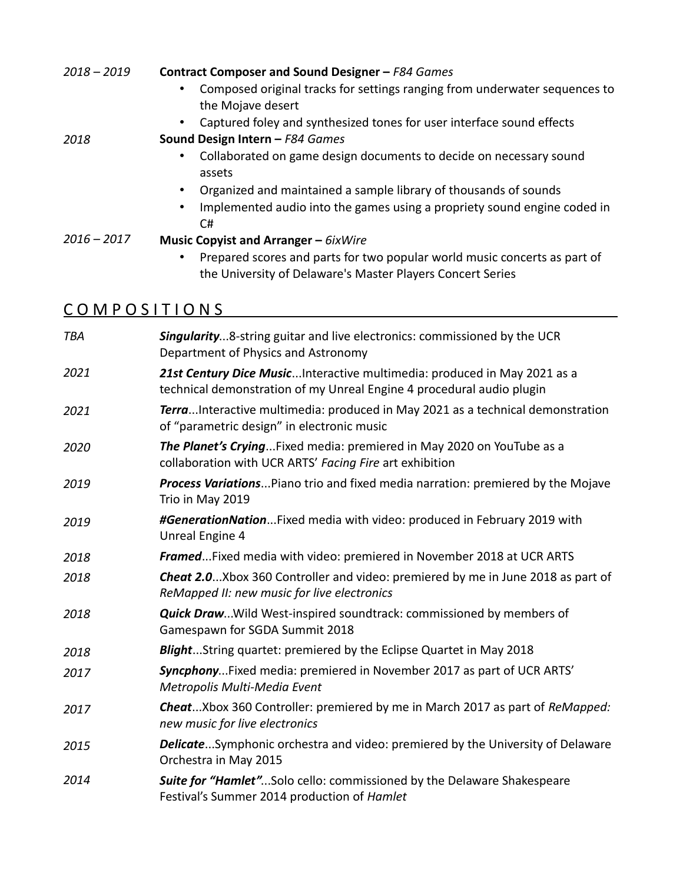| $2018 - 2019$ | Contract Composer and Sound Designer - F84 Games<br>Composed original tracks for settings ranging from underwater sequences to<br>the Mojave desert |
|---------------|-----------------------------------------------------------------------------------------------------------------------------------------------------|
| 2018          | Captured foley and synthesized tones for user interface sound effects<br>Sound Design Intern - F84 Games                                            |
|               | Collaborated on game design documents to decide on necessary sound<br>assets                                                                        |
|               | Organized and maintained a sample library of thousands of sounds                                                                                    |
|               | Implemented audio into the games using a propriety sound engine coded in<br>٠<br>C#                                                                 |
| $2016 - 2017$ | <b>Music Copyist and Arranger - <math>6</math>ixWire</b>                                                                                            |
|               | Prepared scores and parts for two popular world music concerts as part of<br>the University of Delaware's Master Players Concert Series             |
| COMPOSITIONS  |                                                                                                                                                     |

| TBA  | <b>Singularity8-string guitar and live electronics: commissioned by the UCR</b><br>Department of Physics and Astronomy                             |
|------|----------------------------------------------------------------------------------------------------------------------------------------------------|
| 2021 | 21st Century Dice Music Interactive multimedia: produced in May 2021 as a<br>technical demonstration of my Unreal Engine 4 procedural audio plugin |
| 2021 | TerraInteractive multimedia: produced in May 2021 as a technical demonstration<br>of "parametric design" in electronic music                       |
| 2020 | The Planet's CryingFixed media: premiered in May 2020 on YouTube as a<br>collaboration with UCR ARTS' Facing Fire art exhibition                   |
| 2019 | Process Variations Piano trio and fixed media narration: premiered by the Mojave<br>Trio in May 2019                                               |
| 2019 | #GenerationNationFixed media with video: produced in February 2019 with<br>Unreal Engine 4                                                         |
| 2018 | Framed Fixed media with video: premiered in November 2018 at UCR ARTS                                                                              |
| 2018 | <b>Cheat 2.0</b> Xbox 360 Controller and video: premiered by me in June 2018 as part of<br>ReMapped II: new music for live electronics             |
| 2018 | <b>Quick DrawWild West-inspired soundtrack: commissioned by members of</b><br>Gamespawn for SGDA Summit 2018                                       |
| 2018 | BlightString quartet: premiered by the Eclipse Quartet in May 2018                                                                                 |
| 2017 | Syncphony Fixed media: premiered in November 2017 as part of UCR ARTS'<br>Metropolis Multi-Media Event                                             |
| 2017 | CheatXbox 360 Controller: premiered by me in March 2017 as part of ReMapped:<br>new music for live electronics                                     |
| 2015 | DelicateSymphonic orchestra and video: premiered by the University of Delaware<br>Orchestra in May 2015                                            |
| 2014 | Suite for "Hamlet"Solo cello: commissioned by the Delaware Shakespeare<br>Festival's Summer 2014 production of Hamlet                              |
|      |                                                                                                                                                    |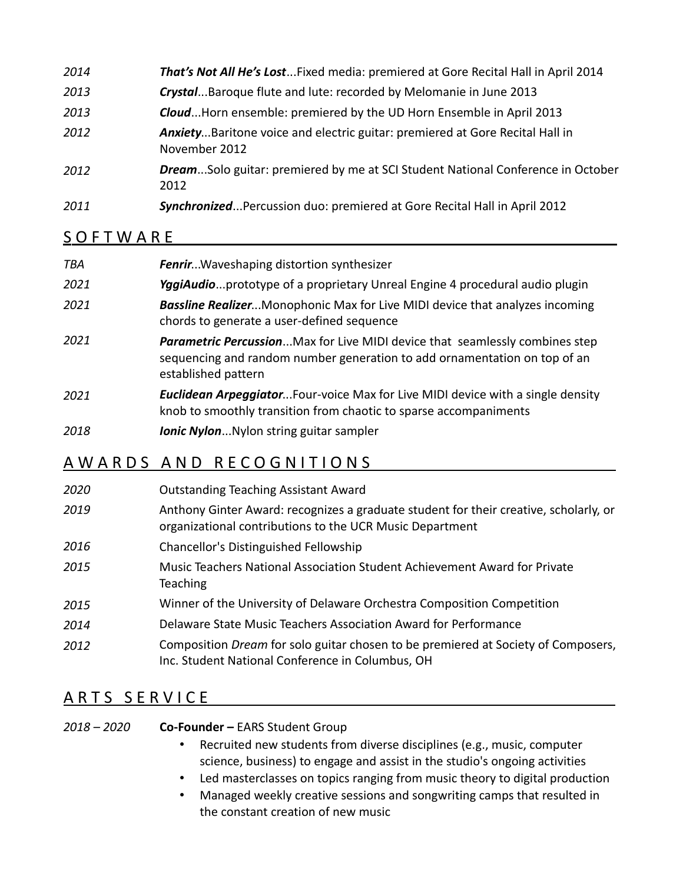| 2014 | That's Not All He's LostFixed media: premiered at Gore Recital Hall in April 2014              |
|------|------------------------------------------------------------------------------------------------|
| 2013 | CrystalBaroque flute and lute: recorded by Melomanie in June 2013                              |
| 2013 | CloudHorn ensemble: premiered by the UD Horn Ensemble in April 2013                            |
| 2012 | AnxietyBaritone voice and electric guitar: premiered at Gore Recital Hall in<br>November 2012  |
| 2012 | <b>DreamSolo guitar: premiered by me at SCI Student National Conference in October</b><br>2012 |
| 2011 | Synchronized Percussion duo: premiered at Gore Recital Hall in April 2012                      |

#### **SOFTWARE**

| TBA  | <b>Fenrir</b> Waveshaping distortion synthesizer                                                                                                                                        |
|------|-----------------------------------------------------------------------------------------------------------------------------------------------------------------------------------------|
| 2021 | YggiAudioprototype of a proprietary Unreal Engine 4 procedural audio plugin                                                                                                             |
| 2021 | <b>Bassline RealizerMonophonic Max for Live MIDI device that analyzes incoming</b><br>chords to generate a user-defined sequence                                                        |
| 2021 | <b>Parametric Percussion</b> Max for Live MIDI device that seamlessly combines step<br>sequencing and random number generation to add ornamentation on top of an<br>established pattern |
| 2021 | <b>Euclidean ArpeggiatorFour-voice Max for Live MIDI device with a single density</b><br>knob to smoothly transition from chaotic to sparse accompaniments                              |
|      |                                                                                                                                                                                         |

*2018 Ionic Nylon*...Nylon string guitar sampler

### A W A R D S A N D R E C O G N I T I O N S

| 2020 | <b>Outstanding Teaching Assistant Award</b>                                                                                                       |
|------|---------------------------------------------------------------------------------------------------------------------------------------------------|
| 2019 | Anthony Ginter Award: recognizes a graduate student for their creative, scholarly, or<br>organizational contributions to the UCR Music Department |
| 2016 | Chancellor's Distinguished Fellowship                                                                                                             |
| 2015 | Music Teachers National Association Student Achievement Award for Private<br>Teaching                                                             |
| 2015 | Winner of the University of Delaware Orchestra Composition Competition                                                                            |
| 2014 | Delaware State Music Teachers Association Award for Performance                                                                                   |
| 2012 | Composition Dream for solo guitar chosen to be premiered at Society of Composers,<br>Inc. Student National Conference in Columbus, OH             |

## ARTS SERVICE

| 2018 – 2020 | <b>Co-Founder - EARS Student Group</b> |  |  |  |
|-------------|----------------------------------------|--|--|--|
|             |                                        |  |  |  |

- Recruited new students from diverse disciplines (e.g., music, computer science, business) to engage and assist in the studio's ongoing activities
- Led masterclasses on topics ranging from music theory to digital production
- Managed weekly creative sessions and songwriting camps that resulted in the constant creation of new music